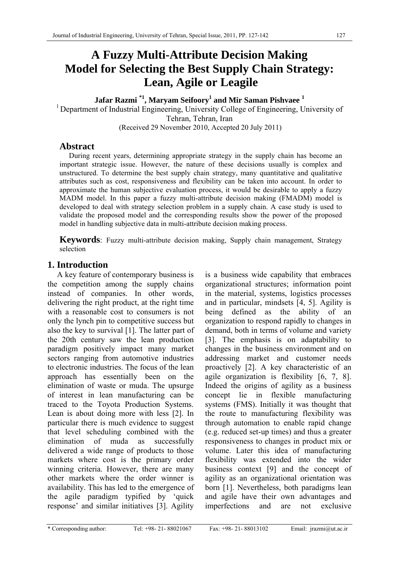# **A Fuzzy Multi-Attribute Decision Making Model for Selecting the Best Supply Chain Strategy: Lean, Agile or Leagile**

**Jafar Razmi \*1, Maryam Seifoory1 and Mir Saman Pishvaee <sup>1</sup>** <sup>1</sup> Department of Industrial Engineering, University College of Engineering, University of Tehran, Tehran, Iran (Received 29 November 2010, Accepted 20 July 2011)

# **Abstract**

During recent years, determining appropriate strategy in the supply chain has become an important strategic issue. However, the nature of these decisions usually is complex and unstructured. To determine the best supply chain strategy, many quantitative and qualitative attributes such as cost, responsiveness and flexibility can be taken into account. In order to approximate the human subjective evaluation process, it would be desirable to apply a fuzzy MADM model. In this paper a fuzzy multi-attribute decision making (FMADM) model is developed to deal with strategy selection problem in a supply chain. A case study is used to validate the proposed model and the corresponding results show the power of the proposed model in handling subjective data in multi-attribute decision making process.

**Keywords**: Fuzzy multi-attribute decision making, Supply chain management, Strategy selection

# **1. Introduction**

A key feature of contemporary business is the competition among the supply chains instead of companies. In other words, delivering the right product, at the right time with a reasonable cost to consumers is not only the lynch pin to competitive success but also the key to survival [1]. The latter part of the 20th century saw the lean production paradigm positively impact many market sectors ranging from automotive industries to electronic industries. The focus of the lean approach has essentially been on the elimination of waste or muda. The upsurge of interest in lean manufacturing can be traced to the Toyota Production Systems. Lean is about doing more with less [2]. In particular there is much evidence to suggest that level scheduling combined with the elimination of muda as successfully delivered a wide range of products to those markets where cost is the primary order winning criteria. However, there are many other markets where the order winner is availability. This has led to the emergence of the agile paradigm typified by 'quick response' and similar initiatives [3]. Agility

is a business wide capability that embraces organizational structures; information point in the material, systems, logistics processes and in particular, mindsets [4, 5]. Agility is being defined as the ability of an organization to respond rapidly to changes in demand, both in terms of volume and variety [3]. The emphasis is on adaptability to changes in the business environment and on addressing market and customer needs proactively [2]. A key characteristic of an agile organization is flexibility [6, 7, 8]. Indeed the origins of agility as a business concept lie in flexible manufacturing systems (FMS). Initially it was thought that the route to manufacturing flexibility was through automation to enable rapid change (e.g. reduced set-up times) and thus a greater responsiveness to changes in product mix or volume. Later this idea of manufacturing flexibility was extended into the wider business context [9] and the concept of agility as an organizational orientation was born [1]. Nevertheless, both paradigms lean and agile have their own advantages and imperfections and are not exclusive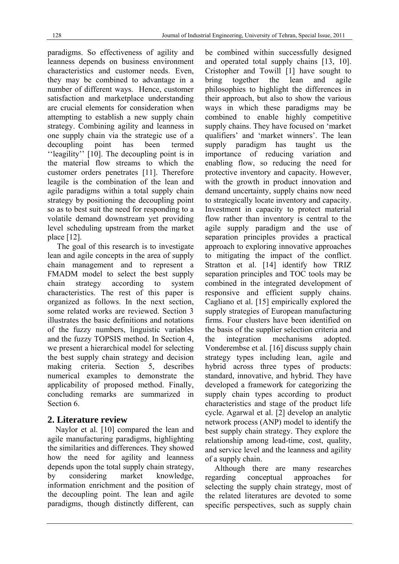paradigms. So effectiveness of agility and leanness depends on business environment characteristics and customer needs. Even, they may be combined to advantage in a number of different ways. Hence, customer satisfaction and marketplace understanding are crucial elements for consideration when attempting to establish a new supply chain strategy. Combining agility and leanness in one supply chain via the strategic use of a decoupling point has been termed ''leagility'' [10]. The decoupling point is in the material flow streams to which the customer orders penetrates [11]. Therefore leagile is the combination of the lean and agile paradigms within a total supply chain strategy by positioning the decoupling point so as to best suit the need for responding to a volatile demand downstream yet providing level scheduling upstream from the market place [12].

The goal of this research is to investigate lean and agile concepts in the area of supply chain management and to represent a FMADM model to select the best supply chain strategy according to system characteristics. The rest of this paper is organized as follows. In the next section, some related works are reviewed. Section 3 illustrates the basic definitions and notations of the fuzzy numbers, linguistic variables and the fuzzy TOPSIS method. In Section 4, we present a hierarchical model for selecting the best supply chain strategy and decision making criteria. Section 5, describes numerical examples to demonstrate the applicability of proposed method. Finally, concluding remarks are summarized in Section 6.

# **2. Literature review**

Naylor et al. [10] compared the lean and agile manufacturing paradigms, highlighting the similarities and differences. They showed how the need for agility and leanness depends upon the total supply chain strategy, by considering market knowledge, information enrichment and the position of the decoupling point. The lean and agile paradigms, though distinctly different, can be combined within successfully designed and operated total supply chains [13, 10]. Cristopher and Towill [1] have sought to bring together the lean and agile philosophies to highlight the differences in their approach, but also to show the various ways in which these paradigms may be combined to enable highly competitive supply chains. They have focused on 'market qualifiers' and 'market winners'. The lean supply paradigm has taught us the importance of reducing variation and enabling flow, so reducing the need for protective inventory and capacity. However, with the growth in product innovation and demand uncertainty, supply chains now need to strategically locate inventory and capacity. Investment in capacity to protect material flow rather than inventory is central to the agile supply paradigm and the use of separation principles provides a practical approach to exploring innovative approaches to mitigating the impact of the conflict. Stratton et al. [14] identify how TRIZ separation principles and TOC tools may be combined in the integrated development of responsive and efficient supply chains. Cagliano et al. [15] empirically explored the supply strategies of European manufacturing firms. Four clusters have been identified on the basis of the supplier selection criteria and the integration mechanisms adopted. Vonderembse et al. [16] discuss supply chain strategy types including lean, agile and hybrid across three types of products: standard, innovative, and hybrid. They have developed a framework for categorizing the supply chain types according to product characteristics and stage of the product life cycle. Agarwal et al. [2] develop an analytic network process (ANP) model to identify the best supply chain strategy. They explore the relationship among lead-time, cost, quality, and service level and the leanness and agility of a supply chain.

Although there are many researches regarding conceptual approaches for selecting the supply chain strategy, most of the related literatures are devoted to some specific perspectives, such as supply chain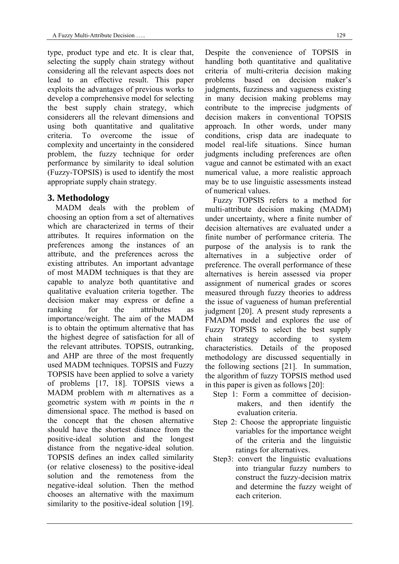type, product type and etc. It is clear that, selecting the supply chain strategy without considering all the relevant aspects does not lead to an effective result. This paper exploits the advantages of previous works to develop a comprehensive model for selecting the best supply chain strategy, which considerers all the relevant dimensions and using both quantitative and qualitative criteria. To overcome the issue of complexity and uncertainty in the considered problem, the fuzzy technique for order performance by similarity to ideal solution (Fuzzy-TOPSIS) is used to identify the most appropriate supply chain strategy.

### **3. Methodology**

MADM deals with the problem of choosing an option from a set of alternatives which are characterized in terms of their attributes. It requires information on the preferences among the instances of an attribute, and the preferences across the existing attributes. An important advantage of most MADM techniques is that they are capable to analyze both quantitative and qualitative evaluation criteria together. The decision maker may express or define a ranking for the attributes as importance/weight. The aim of the MADM is to obtain the optimum alternative that has the highest degree of satisfaction for all of the relevant attributes. TOPSIS, outranking, and AHP are three of the most frequently used MADM techniques. TOPSIS and Fuzzy TOPSIS have been applied to solve a variety of problems [17, 18]. TOPSIS views a MADM problem with *m* alternatives as a geometric system with *m* points in the *n* dimensional space. The method is based on the concept that the chosen alternative should have the shortest distance from the positive-ideal solution and the longest distance from the negative-ideal solution. TOPSIS defines an index called similarity (or relative closeness) to the positive-ideal solution and the remoteness from the negative-ideal solution. Then the method chooses an alternative with the maximum similarity to the positive-ideal solution [19].

Despite the convenience of TOPSIS in handling both quantitative and qualitative criteria of multi-criteria decision making problems based on decision maker's judgments, fuzziness and vagueness existing in many decision making problems may contribute to the imprecise judgments of decision makers in conventional TOPSIS approach. In other words, under many conditions, crisp data are inadequate to model real-life situations. Since human judgments including preferences are often vague and cannot be estimated with an exact numerical value, a more realistic approach may be to use linguistic assessments instead of numerical values.

Fuzzy TOPSIS refers to a method for multi-attribute decision making (MADM) under uncertainty, where a finite number of decision alternatives are evaluated under a finite number of performance criteria. The purpose of the analysis is to rank the alternatives in a subjective order of preference. The overall performance of these alternatives is herein assessed via proper assignment of numerical grades or scores measured through fuzzy theories to address the issue of vagueness of human preferential judgment [20]. A present study represents a FMADM model and explores the use of Fuzzy TOPSIS to select the best supply chain strategy according to system characteristics. Details of the proposed methodology are discussed sequentially in the following sections [21]. In summation, the algorithm of fuzzy TOPSIS method used in this paper is given as follows [20]:

- Step 1: Form a committee of decisionmakers, and then identify the evaluation criteria.
- Step 2: Choose the appropriate linguistic variables for the importance weight of the criteria and the linguistic ratings for alternatives.
- Step3: convert the linguistic evaluations into triangular fuzzy numbers to construct the fuzzy-decision matrix and determine the fuzzy weight of each criterion.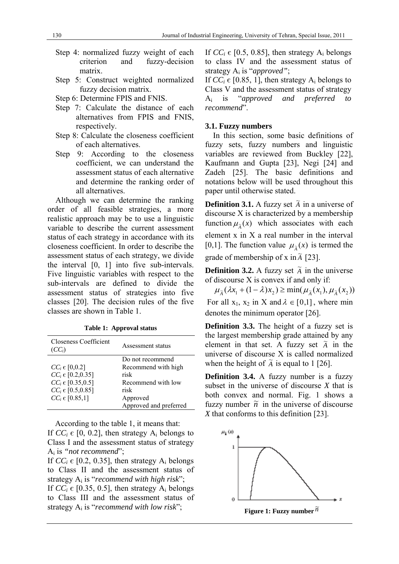- Step 4: normalized fuzzy weight of each criterion and fuzzy-decision matrix.
- Step 5: Construct weighted normalized fuzzy decision matrix.
- Step 6: Determine FPIS and FNIS.
- Step 7: Calculate the distance of each alternatives from FPIS and FNIS, respectively.
- Step 8: Calculate the closeness coefficient of each alternatives.
- Step 9: According to the closeness coefficient, we can understand the assessment status of each alternative and determine the ranking order of all alternatives.

Although we can determine the ranking order of all feasible strategies, a more realistic approach may be to use a linguistic variable to describe the current assessment status of each strategy in accordance with its closeness coefficient. In order to describe the assessment status of each strategy, we divide the interval [0, 1] into five sub-intervals. Five linguistic variables with respect to the sub-intervals are defined to divide the assessment status of strategies into five classes [20]. The decision rules of the five classes are shown in Table 1.

| Closeness Coefficient<br>$(CC_i)$ | Assessment status      |
|-----------------------------------|------------------------|
|                                   | Do not recommend       |
| $CC_i \in [0, 0.2]$               | Recommend with high    |
| $CC_i \in [0.2, 0.35]$            | risk                   |
| $CC_i \in [0.35, 0.5]$            | Recommend with low     |
| $CC_i \in [0.5, 0.85]$            | risk                   |
| $CC_i \in [0.85, 1]$              | Approved               |
|                                   | Approved and preferred |

**Table 1: Approval status** 

According to the table 1, it means that: If  $CC_i \in [0, 0.2]$ , then strategy  $A_i$  belongs to Class I and the assessment status of strategy Ai is *"not recommend*";

If  $CC_i \in [0.2, 0.35]$ , then strategy  $A_i$  belongs to Class II and the assessment status of strategy Ai is "*recommend with high risk*"; If  $CC_i \in [0.35, 0.5]$ , then strategy  $A_i$  belongs to Class III and the assessment status of strategy Ai is "*recommend with low risk*";

If  $CC_i \in [0.5, 0.85]$ , then strategy  $A_i$  belongs to class IV and the assessment status of strategy Ai is "*approved"*;

If  $CC_i \in [0.85, 1]$ , then strategy  $A_i$  belongs to Class V and the assessment status of strategy Ai is "*approved and preferred to recommend*".

### **3.1. Fuzzy numbers**

In this section, some basic definitions of fuzzy sets, fuzzy numbers and linguistic variables are reviewed from Buckley [22], Kaufmann and Gupta [23], Negi [24] and Zadeh [25]. The basic definitions and notations below will be used throughout this paper until otherwise stated.

**Definition 3.1.** A fuzzy set  $\tilde{A}$  in a universe of discourse X is characterized by a membership function  $\mu_{\tilde{\lambda}}(x)$  which associates with each element x in X a real number in the interval [0,1]. The function value  $\mu_{\tilde{\lambda}}(x)$  is termed the grade of membership of x in  $\tilde{A}$  [23].

**Definition 3.2.** A fuzzy set  $\tilde{A}$  in the universe of discourse X is convex if and only if:

 $\mu_{\tilde{\lambda}}(\lambda x_1 + (1 - \lambda)x_2) \ge \min(\mu_{\tilde{\lambda}}(x_1), \mu_{\tilde{\lambda}}(x_2))$ For all  $x_1, x_2$  in X and  $\lambda \in [0,1]$ , where min denotes the minimum operator [26].

**Definition 3.3.** The height of a fuzzy set is the largest membership grade attained by any element in that set. A fuzzy set  $\tilde{A}$  in the universe of discourse X is called normalized when the height of  $\tilde{A}$  is equal to 1 [26].

**Definition 3.4.** A fuzzy number is a fuzzy subset in the universe of discourse *X* that is both convex and normal. Fig. 1 shows a fuzzy number  $\tilde{n}$  in the universe of discourse *X* that conforms to this definition [23].



**Figure 1: Fuzzy number** *n* ~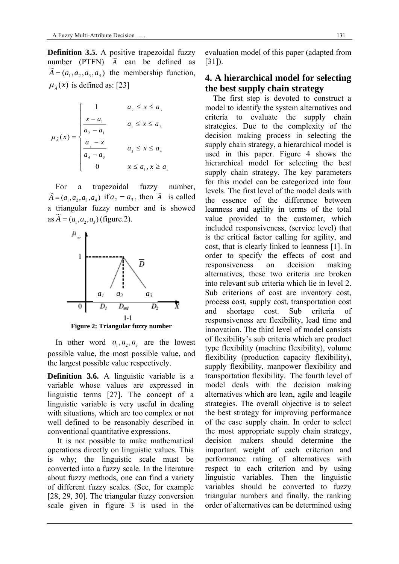**Definition 3.5.** A positive trapezoidal fuzzy number (PTFN)  $\tilde{A}$  can be defined as  $\widetilde{A} = (a_1, a_2, a_3, a_4)$  the membership function,  $\mu_{\tilde{\lambda}}(x)$  is defined as: [23]

$$
\mu_{\lambda}(x) = \begin{cases}\n1 & a_{2} \leq x \leq a_{3} \\
\frac{x - a_{1}}{a_{2} - a_{1}} & a_{1} \leq x \leq a_{2} \\
\frac{a_{4} - x}{a_{4} - a_{3}} & a_{3} \leq x \leq a_{4} \\
0 & x \leq a_{1}, x \geq a_{4}\n\end{cases}
$$

For a trapezoidal fuzzy number,  $\widetilde{A} = (a_1, a_2, a_3, a_4)$  if  $a_2 = a_3$ , then  $\widetilde{A}$  is called a triangular fuzzy number and is showed  $\overline{A} = (a_1, a_2, a_3)$  (figure.2).



In other word  $a_1, a_2, a_3$  are the lowest possible value, the most possible value, and the largest possible value respectively.

**Definition 3.6.** A linguistic variable is a variable whose values are expressed in linguistic terms [27]. The concept of a linguistic variable is very useful in dealing with situations, which are too complex or not well defined to be reasonably described in conventional quantitative expressions.

It is not possible to make mathematical operations directly on linguistic values. This is why; the linguistic scale must be converted into a fuzzy scale. In the literature about fuzzy methods, one can find a variety of different fuzzy scales. (See, for example [28, 29, 30]. The triangular fuzzy conversion scale given in figure 3 is used in the evaluation model of this paper (adapted from [31]).

# **4. A hierarchical model for selecting the best supply chain strategy**

The first step is devoted to construct a model to identify the system alternatives and criteria to evaluate the supply chain strategies. Due to the complexity of the decision making process in selecting the supply chain strategy, a hierarchical model is used in this paper. Figure 4 shows the hierarchical model for selecting the best supply chain strategy. The key parameters for this model can be categorized into four levels. The first level of the model deals with the essence of the difference between leanness and agility in terms of the total value provided to the customer, which included responsiveness, (service level) that is the critical factor calling for agility, and cost, that is clearly linked to leanness [1]. In order to specify the effects of cost and responsiveness on decision making alternatives, these two criteria are broken into relevant sub criteria which lie in level 2. Sub criterions of cost are inventory cost, process cost, supply cost, transportation cost and shortage cost. Sub criteria of responsiveness are flexibility, lead time and innovation. The third level of model consists of flexibility's sub criteria which are product type flexibility (machine flexibility), volume flexibility (production capacity flexibility), supply flexibility, manpower flexibility and transportation flexibility. The fourth level of model deals with the decision making alternatives which are lean, agile and leagile strategies. The overall objective is to select the best strategy for improving performance of the case supply chain. In order to select the most appropriate supply chain strategy, decision makers should determine the important weight of each criterion and performance rating of alternatives with respect to each criterion and by using linguistic variables. Then the linguistic variables should be converted to fuzzy triangular numbers and finally, the ranking order of alternatives can be determined using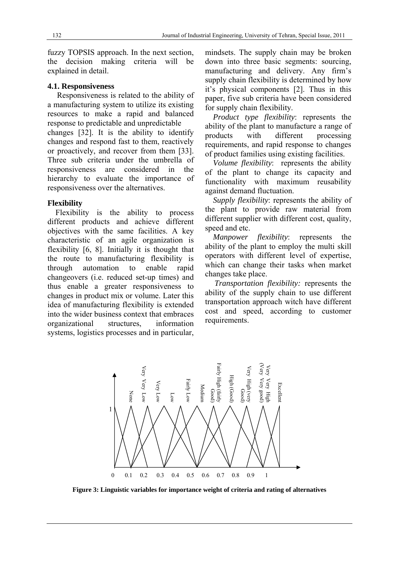fuzzy TOPSIS approach. In the next section, the decision making criteria will be explained in detail.

#### **4.1. Responsiveness**

Responsiveness is related to the ability of a manufacturing system to utilize its existing resources to make a rapid and balanced response to predictable and unpredictable changes [32]. It is the ability to identify changes and respond fast to them, reactively or proactively, and recover from them [33]. Three sub criteria under the umbrella of responsiveness are considered in the hierarchy to evaluate the importance of responsiveness over the alternatives.

#### **Flexibility**

Flexibility is the ability to process different products and achieve different objectives with the same facilities. A key characteristic of an agile organization is flexibility [6, 8]. Initially it is thought that the route to manufacturing flexibility is through automation to enable rapid changeovers (i.e. reduced set-up times) and thus enable a greater responsiveness to changes in product mix or volume. Later this idea of manufacturing flexibility is extended into the wider business context that embraces organizational structures, information systems, logistics processes and in particular, mindsets. The supply chain may be broken down into three basic segments: sourcing, manufacturing and delivery. Any firm's supply chain flexibility is determined by how it's physical components [2]. Thus in this paper, five sub criteria have been considered for supply chain flexibility.

*Product type flexibility*: represents the ability of the plant to manufacture a range of products with different processing requirements, and rapid response to changes of product families using existing facilities.

*Volume flexibility*: represents the ability of the plant to change its capacity and functionality with maximum reusability against demand fluctuation.

*Supply flexibility*: represents the ability of the plant to provide raw material from different supplier with different cost, quality, speed and etc.

*Manpower flexibility*: represents the ability of the plant to employ the multi skill operators with different level of expertise, which can change their tasks when market changes take place.

*Transportation flexibility:* represents the ability of the supply chain to use different transportation approach witch have different cost and speed, according to customer requirements.



**Figure 3: Linguistic variables for importance weight of criteria and rating of alternatives**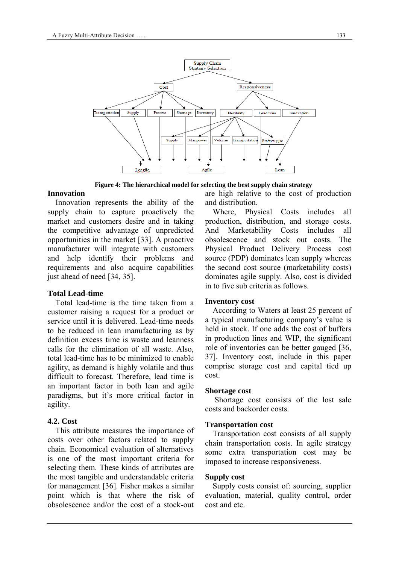

**Figure 4: The hierarchical model for selecting the best supply chain strategy** 

#### **Innovation**

Innovation represents the ability of the supply chain to capture proactively the market and customers desire and in taking the competitive advantage of unpredicted opportunities in the market [33]. A proactive manufacturer will integrate with customers and help identify their problems and requirements and also acquire capabilities just ahead of need [34, 35].

#### **Total Lead-time**

Total lead-time is the time taken from a customer raising a request for a product or service until it is delivered. Lead-time needs to be reduced in lean manufacturing as by definition excess time is waste and leanness calls for the elimination of all waste. Also, total lead-time has to be minimized to enable agility, as demand is highly volatile and thus difficult to forecast. Therefore, lead time is an important factor in both lean and agile paradigms, but it's more critical factor in agility.

#### **4.2. Cost**

This attribute measures the importance of costs over other factors related to supply chain. Economical evaluation of alternatives is one of the most important criteria for selecting them. These kinds of attributes are the most tangible and understandable criteria for management [36]. Fisher makes a similar point which is that where the risk of obsolescence and/or the cost of a stock-out

are high relative to the cost of production and distribution.

Where, Physical Costs includes all production, distribution, and storage costs. And Marketability Costs includes all obsolescence and stock out costs. The Physical Product Delivery Process cost source (PDP) dominates lean supply whereas the second cost source (marketability costs) dominates agile supply. Also, cost is divided in to five sub criteria as follows.

#### **Inventory cost**

According to Waters at least 25 percent of a typical manufacturing company's value is held in stock. If one adds the cost of buffers in production lines and WIP, the significant role of inventories can be better gauged [36, 37]. Inventory cost, include in this paper comprise storage cost and capital tied up cost.

#### **Shortage cost**

 Shortage cost consists of the lost sale costs and backorder costs.

#### **Transportation cost**

Transportation cost consists of all supply chain transportation costs. In agile strategy some extra transportation cost may be imposed to increase responsiveness.

#### **Supply cost**

Supply costs consist of: sourcing, supplier evaluation, material, quality control, order cost and etc.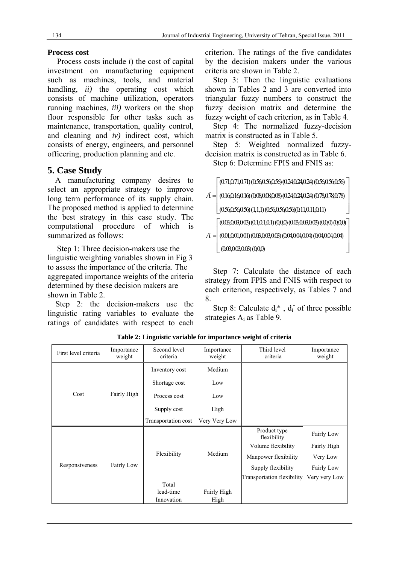### **Process cost**

Process costs include *i*) the cost of capital investment on manufacturing equipment such as machines, tools, and material handling, *ii)* the operating cost which consists of machine utilization, operators running machines, *iii)* workers on the shop floor responsible for other tasks such as maintenance, transportation, quality control, and cleaning and *iv)* indirect cost, which consists of energy, engineers, and personnel officering, production planning and etc.

# **5. Case Study**

A manufacturing company desires to select an appropriate strategy to improve long term performance of its supply chain. The proposed method is applied to determine the best strategy in this case study. The computational procedure of which is summarized as follows:

Step 1: Three decision-makers use the linguistic weighting variables shown in Fig 3 to assess the importance of the criteria. The aggregated importance weights of the criteria determined by these decision makers are shown in Table 2.

Step 2: the decision-makers use the linguistic rating variables to evaluate the ratings of candidates with respect to each criterion. The ratings of the five candidates by the decision makers under the various criteria are shown in Table 2.

Step 3: Then the linguistic evaluations shown in Tables 2 and 3 are converted into triangular fuzzy numbers to construct the fuzzy decision matrix and determine the fuzzy weight of each criterion, as in Table 4.

Step 4: The normalized fuzzy-decision matrix is constructed as in Table 5.

Step 5: Weighted normalized fuzzydecision matrix is constructed as in Table 6.

Step 6: Determine FPIS and FNIS as:

 $(0.71,0.71,0.71)$   $(0.56,0.56,0.56)$   $(0.24,0.24,0.24)$   $(0.56,0.56,0.56)$ 

(0.16,0.16,0.16) (0.08,0.08,0.08) (0.24,0.24,0.24) (0.78,0.78,0.78) *A* ľ

 $(0.560.56,0.56)(1,1,1)(0.560.56,0.56)(0.11,0.11,0.11)$ 

 $(0.03,0.03,0.03)$  $(0.1,0.1,0.1)$  $(0,0,0)$  $(0.03,0.03,0.03)$  $(0,0,0)$  $(0,0,0)$ 

 $A = (0.01, 0.01, 0.01) (0.03, 0.03, 0.03) (0.04, 0.04) (0.04, 0.04, 0.04)$  (0.03,0.03,0.03) (0,0,0)  $\left[ \begin{matrix} (0.03,0.03,0.03) \ (0.1,0.1,0.1) \ (0.0,0) \ (0.03,0.03) \ (0.0,0.01) \ (0.03,0.03) \ (0.04,0.04) \ (0.04,0.04,0.04) \ (0.03,0.03) \ (0.00) \ (0.00) \ (0.01,0.01) \ (0.03,0.02) \ (0.00,0.02) \end{matrix} \right]$ 

Step 7: Calculate the distance of each strategy from FPIS and FNIS with respect to each criterion, respectively, as Tables 7 and 8.

Step 8: Calculate  $d_i^*$ ,  $d_i$  of three possible strategies  $A_i$  as Table 9.

| First level criteria | Importance<br>weight | Second level<br>criteria | Importance<br>weight | Third level<br>criteria     | Importance<br>weight |
|----------------------|----------------------|--------------------------|----------------------|-----------------------------|----------------------|
|                      |                      | Inventory cost           | Medium               |                             |                      |
|                      |                      | Shortage cost            | Low                  |                             |                      |
| Cost                 | Fairly High          | Process cost             | Low                  |                             |                      |
|                      |                      | Supply cost              | High                 |                             |                      |
|                      |                      | Transportation cost      | Very Very Low        |                             |                      |
|                      |                      |                          |                      | Product type<br>flexibility | Fairly Low           |
|                      |                      |                          |                      | Volume flexibility          | Fairly High          |
|                      |                      | Flexibility              | Medium               | Manpower flexibility        | Very Low             |
| Responsiveness       | Fairly Low           |                          |                      | Supply flexibility          | Fairly Low           |
|                      |                      |                          |                      | Transportation flexibility  | Very very Low        |
|                      |                      | Total                    |                      |                             |                      |
|                      |                      | lead-time                | Fairly High          |                             |                      |
|                      |                      | Innovation               | High                 |                             |                      |

**Table 2: Linguistic variable for importance weight of criteria**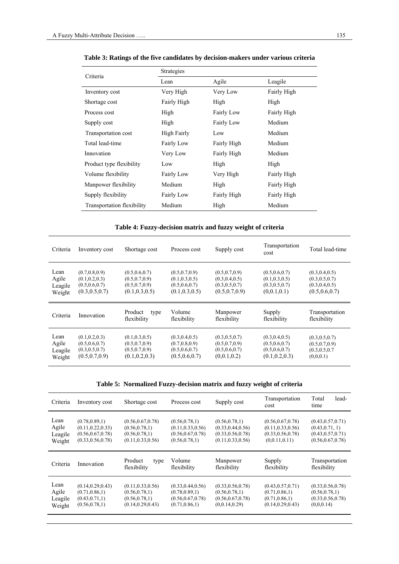| Criteria                   | Strategies        |                   |                    |
|----------------------------|-------------------|-------------------|--------------------|
|                            | Lean              | Agile             | Leagile            |
| Inventory cost             | Very High         | Very Low          | Fairly High        |
| Shortage cost              | Fairly High       | High              | High               |
| Process cost               | High              | <b>Fairly Low</b> | Fairly High        |
| Supply cost                | High              | Fairly Low        | Medium             |
| Transportation cost        | High Fairly       | Low               | Medium             |
| Total lead-time            | <b>Fairly Low</b> | Fairly High       | Medium             |
| Innovation                 | Very Low          | Fairly High       | Medium             |
| Product type flexibility   | Low               | High              | High               |
| Volume flexibility         | <b>Fairly Low</b> | Very High         | <b>Fairly High</b> |
| Manpower flexibility       | Medium            | High              | Fairly High        |
| Supply flexibility         | <b>Fairly Low</b> | Fairly High       | Fairly High        |
| Transportation flexibility | Medium            | High              | Medium             |

**Table 3: Ratings of the five candidates by decision-makers under various criteria** 

### **Table 4: Fuzzy-decision matrix and fuzzy weight of criteria**

| Criteria                           | Inventory cost                                                           | Shortage cost                                                            | Process cost                                                             | Supply cost                                                              | Transportation<br>cost                                               | Total lead-time                                                          |
|------------------------------------|--------------------------------------------------------------------------|--------------------------------------------------------------------------|--------------------------------------------------------------------------|--------------------------------------------------------------------------|----------------------------------------------------------------------|--------------------------------------------------------------------------|
| Lean<br>Agile<br>Leagile<br>Weight | (0.7, 0.8, 0.9)<br>(0.1, 0.2, 0.3)<br>(0.5, 0.6, 0.7)<br>(0.3, 0.5, 0.7) | (0.5, 0.6, 0.7)<br>(0.5, 0.7, 0.9)<br>(0.5, 0.7, 0.9)<br>(0.1, 0.3, 0.5) | (0.5, 0.7, 0.9)<br>(0.1, 0.3, 0.5)<br>(0.5, 0.6, 0.7)<br>(0.1, 0.3, 0.5) | (0.5, 0.7, 0.9)<br>(0.3, 0.4, 0.5)<br>(0.3, 0.5, 0.7)<br>(0.5, 0.7, 0.9) | (0.5, 0.6, 0.7)<br>(0.1, 0.3, 0.5)<br>(0.3, 0.5, 0.7)<br>(0,0.1,0.1) | (0.3, 0.4, 0.5)<br>(0.3, 0.5, 0.7)<br>(0.3, 0.4, 0.5)<br>(0.5, 0.6, 0.7) |
|                                    |                                                                          |                                                                          |                                                                          |                                                                          |                                                                      |                                                                          |
| Criteria                           | Innovation                                                               | Product<br>type<br>flexibility                                           | Volume<br>flexibility                                                    | Manpower<br>flexibility                                                  | Supply<br>flexibility                                                | Transportation<br>flexibility                                            |

|  |  | Table 5: Normalized Fuzzy-decision matrix and fuzzy weight of criteria |
|--|--|------------------------------------------------------------------------|

| Criteria                           | Inventory cost                                                                    | Shortage cost                                                                  | Process cost                                                                   | Supply cost                                                                       | Transportation<br>cost                                                          | Total<br>lead-<br>time                                                            |
|------------------------------------|-----------------------------------------------------------------------------------|--------------------------------------------------------------------------------|--------------------------------------------------------------------------------|-----------------------------------------------------------------------------------|---------------------------------------------------------------------------------|-----------------------------------------------------------------------------------|
| Lean<br>Agile<br>Leagile<br>Weight | (0.78, 0.89, 1)<br>(0.11, 0.22, 0.33)<br>(0.56, 0.67, 0.78)<br>(0.33, 0.56, 0.78) | (0.56, 0.67, 0.78)<br>(0.56, 0.78, 1)<br>(0.56, 0.78, 1)<br>(0.11, 0.33, 0.56) | (0.56, 0.78, 1)<br>(0.11, 0.33, 0.56)<br>(0.56, 0.67, 0.78)<br>(0.56, 0.78, 1) | (0.56, 0.78, 1)<br>(0.33, 0.44, 0.56)<br>(0.33, 0.56, 0.78)<br>(0.11, 0.33, 0.56) | (0.56, 0.67, 0.78)<br>(0.11, 0.33, 0.56)<br>(0.33, 0.56, 0.78)<br>(0,0.11,0.11) | (0.43, 0.57, 0.71)<br>(0.43, 0.71, 1)<br>(0.43, 0.57, 0.71)<br>(0.56, 0.67, 0.78) |
|                                    |                                                                                   |                                                                                |                                                                                |                                                                                   |                                                                                 |                                                                                   |
| Criteria                           | Innovation                                                                        | Product<br>type<br>flexibility                                                 | Volume<br>flexibility                                                          | Manpower<br>flexibility                                                           | Supply<br>flexibility                                                           | Transportation<br>flexibility                                                     |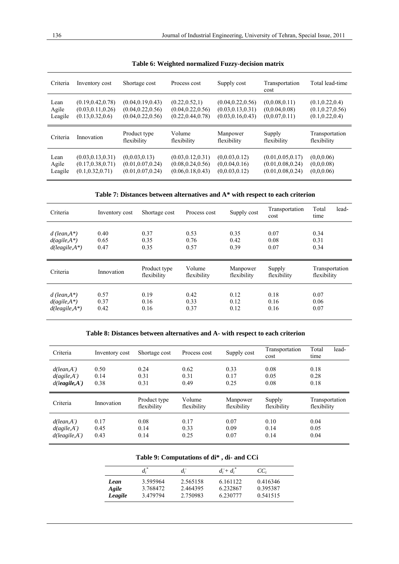| Criteria                 | Inventory cost                                                | Shortage cost                                                  | Process cost                                                | Supply cost                                                    | Transportation<br>cost                             | Total lead-time                                           |
|--------------------------|---------------------------------------------------------------|----------------------------------------------------------------|-------------------------------------------------------------|----------------------------------------------------------------|----------------------------------------------------|-----------------------------------------------------------|
| Lean<br>Agile<br>Leagile | (0.19, 0.42, 0.78)<br>(0.03, 0.11, 0.26)<br>(0.13, 0.32, 0.6) | (0.04, 0.19, 0.43)<br>(0.04, 0.22, 0.56)<br>(0.04, 0.22, 0.56) | (0.22, 0.52, 1)<br>(0.04, 0.22, 0.56)<br>(0.22, 0.44, 0.78) | (0.04, 0.22, 0.56)<br>(0.03, 0.13, 0.31)<br>(0.03, 0.16, 0.43) | (0.0.08, 0.11)<br>(0.0.04, 0.08)<br>(0.0.07, 0.11) | (0.1, 0.22, 0.4)<br>(0.1, 0.27, 0.56)<br>(0.1, 0.22, 0.4) |
|                          |                                                               |                                                                |                                                             |                                                                |                                                    |                                                           |
| Criteria                 | Innovation                                                    | Product type<br>flexibility                                    | Volume<br>flexibility                                       | Manpower<br>flexibility                                        | Supply<br>flexibility                              | Transportation<br>flexibility                             |

|  |  |  | Table 6: Weighted normalized Fuzzy-decision matrix |  |  |  |
|--|--|--|----------------------------------------------------|--|--|--|
|--|--|--|----------------------------------------------------|--|--|--|

**Table 7: Distances between alternatives and A\* with respect to each criterion** 

| Criteria                                               | Inventory cost       | Shortage cost               | Process cost          | Supply cost             | Transportation<br>cost | Total<br>lead-<br>time        |
|--------------------------------------------------------|----------------------|-----------------------------|-----------------------|-------------------------|------------------------|-------------------------------|
| $d$ (lean, A*)<br>$d(agile, A^*)$<br>$d(leagile, A^*)$ | 0.40<br>0.65<br>0.47 | 0.37<br>0.35<br>0.35        | 0.53<br>0.76<br>0.57  | 0.35<br>0.42<br>0.39    | 0.07<br>0.08<br>0.07   | 0.34<br>0.31<br>0.34          |
|                                                        |                      |                             |                       |                         |                        |                               |
| Criteria                                               | Innovation           | Product type<br>flexibility | Volume<br>flexibility | Manpower<br>flexibility | Supply<br>flexibility  | Transportation<br>flexibility |

#### **Table 8: Distances between alternatives and A- with respect to each criterion**

| Criteria                                                  | Inventory cost       | Shortage cost               | Process cost          | Supply cost             | Transportation<br>cost | Total<br>lead-<br>time        |
|-----------------------------------------------------------|----------------------|-----------------------------|-----------------------|-------------------------|------------------------|-------------------------------|
| $d(lean, A^{\dagger})$<br>d(agile, A)<br>$d(leagile, A-)$ | 0.50<br>0.14<br>0.38 | 0.24<br>0.31<br>0.31        | 0.62<br>0.31<br>0.49  | 0.33<br>0.17<br>0.25    | 0.08<br>0.05<br>0.08   | 0.18<br>0.28<br>0.18          |
|                                                           |                      |                             |                       |                         |                        |                               |
| Criteria                                                  | Innovation           | Product type<br>flexibility | Volume<br>flexibility | Manpower<br>flexibility | Supply<br>flexibility  | Transportation<br>flexibility |

#### **Table 9: Computations of di\* , di- and CCi**

|         | $d_i^*$  | $d_i$    | $d_i + d_i$ | $CC_i$   |
|---------|----------|----------|-------------|----------|
| Lean    | 3.595964 | 2.565158 | 6.161122    | 0.416346 |
| Agile   | 3.768472 | 2.464395 | 6.232867    | 0.395387 |
| Leagile | 3.479794 | 2.750983 | 6.230777    | 0.541515 |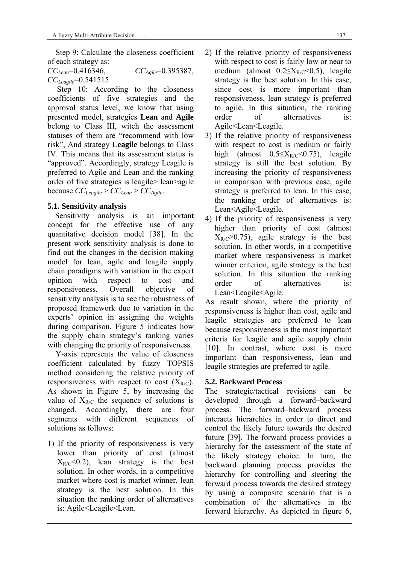Step 9: Calculate the closeness coefficient of each strategy as:

*CCLean*=0.416346, *CCAgile*=0.395387, *CCLeagile*=0.541515

Step 10: According to the closeness coefficients of five strategies and the approval status level, we know that using presented model, strategies **Lean** and **Agile** belong to Class III, witch the assessment statuses of them are "recommend with low risk", And strategy **Leagile** belongs to Class IV. This means that its assessment status is "approved". Accordingly, strategy Leagile is preferred to Agile and Lean and the ranking order of five strategies is leagile> lean>agile because *CCLeagile* > *CCLean* > *CCAgile*.

### **5.1. Sensitivity analysis**

Sensitivity analysis is an important concept for the effective use of any quantitative decision model [38]. In the present work sensitivity analysis is done to find out the changes in the decision making model for lean, agile and leagile supply chain paradigms with variation in the expert opinion with respect to cost and responsiveness. Overall objective of sensitivity analysis is to see the robustness of proposed framework due to variation in the experts' opinion in assigning the weights during comparison. Figure 5 indicates how the supply chain strategy's ranking varies with changing the priority of responsiveness.

 Y-axis represents the value of closeness coefficient calculated by fuzzy TOPSIS method considering the relative priority of responsiveness with respect to cost  $(X_{R/C})$ . As shown in Figure 5, by increasing the value of  $X_{R/C}$  the sequence of solutions is changed. Accordingly, there are four segments with different sequences of solutions as follows:

1) If the priority of responsiveness is very lower than priority of cost (almost  $X_{R/C}$ <0.2), lean strategy is the best solution. In other words, in a competitive market where cost is market winner, lean strategy is the best solution. In this situation the ranking order of alternatives is: Agile<Leagile<Lean.

- 2) If the relative priority of responsiveness with respect to cost is fairly low or near to medium (almost  $0.2 \leq X_{R/C} \leq 0.5$ ), leagile strategy is the best solution. In this case, since cost is more important than responsiveness, lean strategy is preferred to agile. In this situation, the ranking order of alternatives is: Agile<Lean<Leagile.
- 3) If the relative priority of responsiveness with respect to cost is medium or fairly high (almost  $0.5 \leq X_{R/C} < 0.75$ ), leagile strategy is still the best solution. By increasing the priority of responsiveness in comparison with previous case, agile strategy is preferred to lean. In this case, the ranking order of alternatives is: Lean<Agile<Leagile.
- 4) If the priority of responsiveness is very higher than priority of cost (almost  $X_{R/C} > 0.75$ , agile strategy is the best solution. In other words, in a competitive market where responsiveness is market winner criterion, agile strategy is the best solution. In this situation the ranking order of alternatives is: Lean<Leagile<Agile.

As result shown, where the priority of responsiveness is higher than cost, agile and leagile strategies are preferred to lean because responsiveness is the most important criteria for leagile and agile supply chain [10]. In contrast, where cost is more important than responsiveness, lean and leagile strategies are preferred to agile.

### **5.2. Backward Process**

The strategic/tactical revisions can be developed through a forward–backward process. The forward–backward process interacts hierarchies in order to direct and control the likely future towards the desired future [39]. The forward process provides a hierarchy for the assessment of the state of the likely strategy choice. In turn, the backward planning process provides the hierarchy for controlling and steering the forward process towards the desired strategy by using a composite scenario that is a combination of the alternatives in the forward hierarchy. As depicted in figure 6,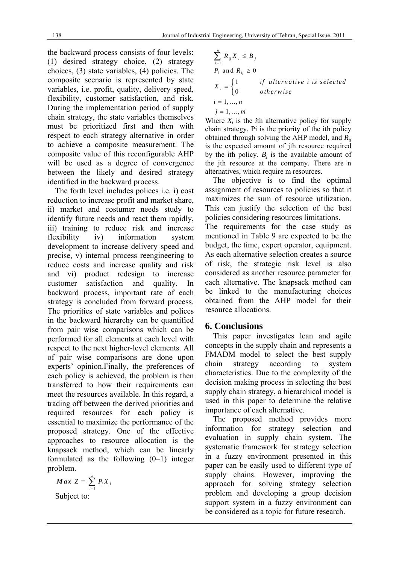the backward process consists of four levels: (1) desired strategy choice, (2) strategy choices, (3) state variables, (4) policies. The composite scenario is represented by state variables, i.e. profit, quality, delivery speed, flexibility, customer satisfaction, and risk. During the implementation period of supply chain strategy, the state variables themselves must be prioritized first and then with respect to each strategy alternative in order to achieve a composite measurement. The composite value of this reconfigurable AHP will be used as a degree of convergence between the likely and desired strategy identified in the backward process.

The forth level includes polices i.e. i) cost reduction to increase profit and market share, ii) market and costumer needs study to identify future needs and react them rapidly, iii) training to reduce risk and increase flexibility iv) information system development to increase delivery speed and precise, v) internal process reengineering to reduce costs and increase quality and risk and vi) product redesign to increase customer satisfaction and quality. In backward process, important rate of each strategy is concluded from forward process. The priorities of state variables and polices in the backward hierarchy can be quantified from pair wise comparisons which can be performed for all elements at each level with respect to the next higher-level elements. All of pair wise comparisons are done upon experts' opinion.Finally, the preferences of each policy is achieved, the problem is then transferred to how their requirements can meet the resources available. In this regard, a trading off between the derived priorities and required resources for each policy is essential to maximize the performance of the proposed strategy. One of the effective approaches to resource allocation is the knapsack method, which can be linearly formulated as the following (0–1) integer problem.

$$
Max Z = \sum_{i=1}^{n} P_i X_i
$$
  
Subject to:

$$
\sum_{i=1}^{n} R_{ij} X_i \leq B_j
$$
\n
$$
P_i \text{ and } R_{ij} \geq 0
$$
\n
$$
X_i = \begin{cases} 1 & \text{if alternative } i \text{ is selected} \\ 0 & \text{otherwise} \end{cases}
$$
\n
$$
i = 1, \dots, n
$$
\n
$$
j = 1, \dots, m
$$

Where  $X_i$  is the *i*th alternative policy for supply chain strategy, Pi is the priority of the ith policy obtained through solving the AHP model, and *Rij* is the expected amount of jth resource required by the ith policy.  $B_i$  is the available amount of the jth resource at the company. There are n alternatives, which require m resources.

The objective is to find the optimal assignment of resources to policies so that it maximizes the sum of resource utilization. This can justify the selection of the best policies considering resources limitations.

The requirements for the case study as mentioned in Table 9 are expected to be the budget, the time, expert operator, equipment. As each alternative selection creates a source of risk, the strategic risk level is also considered as another resource parameter for each alternative. The knapsack method can be linked to the manufacturing choices obtained from the AHP model for their resource allocations.

# **6. Conclusions**

This paper investigates lean and agile concepts in the supply chain and represents a FMADM model to select the best supply chain strategy according to system characteristics. Due to the complexity of the decision making process in selecting the best supply chain strategy, a hierarchical model is used in this paper to determine the relative importance of each alternative.

The proposed method provides more information for strategy selection and evaluation in supply chain system. The systematic framework for strategy selection in a fuzzy environment presented in this paper can be easily used to different type of supply chains. However, improving the approach for solving strategy selection problem and developing a group decision support system in a fuzzy environment can be considered as a topic for future research.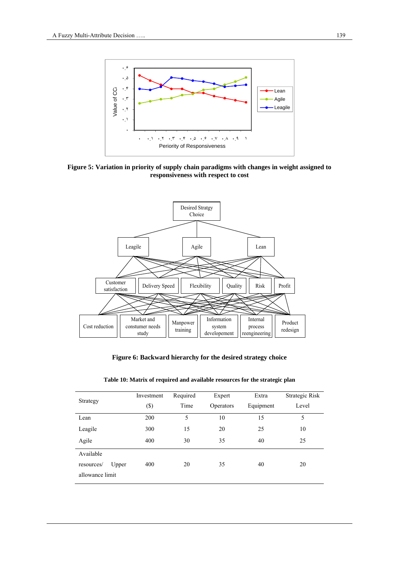

**Figure 5: Variation in priority of supply chain paradigms with changes in weight assigned to responsiveness with respect to cost** 



**Figure 6: Backward hierarchy for the desired strategy choice** 

| Strategy                                            | Investment<br>$(\$\)$ | Required<br>Time | Expert<br>Operators | Extra<br>Equipment | Strategic Risk<br>Level |
|-----------------------------------------------------|-----------------------|------------------|---------------------|--------------------|-------------------------|
| Lean                                                | 200                   | 5                | 10                  | 15                 | 5                       |
| Leagile                                             | 300                   | 15               | 20                  | 25                 | 10                      |
| Agile                                               | 400                   | 30               | 35                  | 40                 | 25                      |
| Available<br>Upper<br>resources/<br>allowance limit | 400                   | 20               | 35                  | 40                 | 20                      |

**Table 10: Matrix of required and available resources for the strategic plan**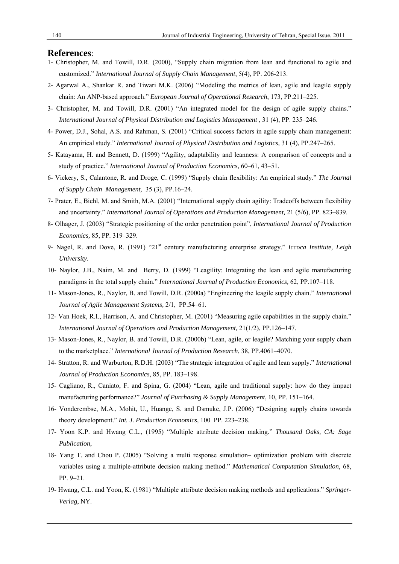#### **References**:

- 1- Christopher, M. and Towill, D.R. (2000), "Supply chain migration from lean and functional to agile and customized." *International Journal of Supply Chain Management*, 5(4), PP. 206-213.
- 2- Agarwal A., Shankar R. and Tiwari M.K. (2006) "Modeling the metrics of lean, agile and leagile supply chain: An ANP-based approach." *European Journal of Operational Research*, 173, PP.211–225.
- 3- Christopher, M. and Towill, D.R. (2001) "An integrated model for the design of agile supply chains." *International Journal of Physical Distribution and Logistics Management* , 31 (4), PP. 235–246.
- 4- Power, D.J., Sohal, A.S. and Rahman, S. (2001) "Critical success factors in agile supply chain management: An empirical study." *International Journal of Physical Distribution and Logistics,* 31 (4), PP.247–265.
- 5- Katayama, H. and Bennett, D. (1999) "Agility, adaptability and leanness: A comparison of concepts and a study of practice." *International Journal of Production Economics*, 60–61, 43–51.
- 6- Vickery, S., Calantone, R. and Droge, C. (1999) "Supply chain flexibility: An empirical study." *The Journal of Supply Chain Management,* 35 (3), PP.16–24.
- 7- Prater, E., Biehl, M. and Smith, M.A. (2001) "International supply chain agility: Tradeoffs between flexibility and uncertainty." *International Journal of Operations and Production Management,* 21 (5/6), PP. 823–839.
- 8- Olhager, J. (2003) "Strategic positioning of the order penetration point", *International Journal of Production Economics,* 85, PP. 319–329.
- 9- Nagel, R. and Dove, R. (1991) "21<sup>st</sup> century manufacturing enterprise strategy." *Iccoca Institute, Leigh University*.
- 10- Naylor, J.B., Naim, M. and Berry, D. (1999) "Leagility: Integrating the lean and agile manufacturing paradigms in the total supply chain." *International Journal of Production Economics,* 62, PP.107–118.
- 11- Mason-Jones, R., Naylor, B. and Towill, D.R. (2000a) "Engineering the leagile supply chain." *International Journal of Agile Management Systems,* 2/1, PP.54–61.
- 12- Van Hoek, R.I., Harrison, A. and Christopher, M. (2001) "Measuring agile capabilities in the supply chain." *International Journal of Operations and Production Management,* 21(1/2), PP.126–147.
- 13- Mason-Jones, R., Naylor, B. and Towill, D.R. (2000b) "Lean, agile, or leagile? Matching your supply chain to the marketplace." *International Journal of Production Research*, 38, PP.4061–4070.
- 14- Stratton, R. and Warburton, R.D.H. (2003) "The strategic integration of agile and lean supply." *International Journal of Production Economics*, 85, PP. 183–198.
- 15- Cagliano, R., Caniato, F. and Spina, G. (2004) "Lean, agile and traditional supply: how do they impact manufacturing performance?" *Journal of Purchasing & Supply Management*, 10, PP. 151–164.
- 16- Vonderembse, M.A., Mohit, U., Huangc, S. and Dsmuke, J.P. (2006) "Designing supply chains towards theory development." *Int. J. Production Economics,* 100 PP. 223–238.
- 17- Yoon K.P. and Hwang C.L., (1995) "Multiple attribute decision making." *Thousand Oaks, CA: Sage Publication*,
- 18- Yang T. and Chou P. (2005) "Solving a multi response simulation– optimization problem with discrete variables using a multiple-attribute decision making method." *Mathematical Computation Simulation*, 68, PP. 9–21.
- 19- Hwang, C.L. and Yoon, K. (1981) "Multiple attribute decision making methods and applications." *Springer-Verlag*, NY.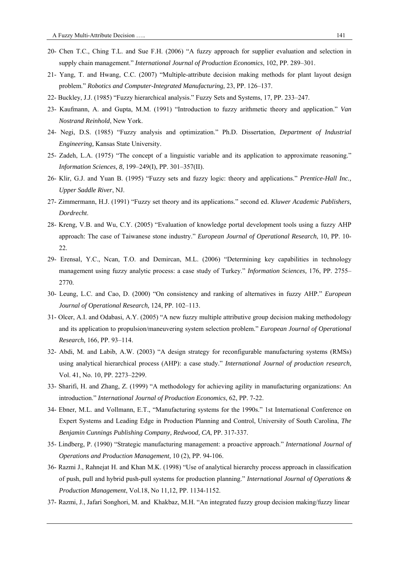- 20- Chen T.C., Ching T.L. and Sue F.H. (2006) "A fuzzy approach for supplier evaluation and selection in supply chain management." *International Journal of Production Economics*, 102, PP. 289–301.
- 21- Yang, T. and Hwang, C.C. (2007) "Multiple-attribute decision making methods for plant layout design problem." *Robotics and Computer-Integrated Manufacturing,* 23, PP. 126–137.
- 22- Buckley, J.J. (1985) "Fuzzy hierarchical analysis." Fuzzy Sets and Systems, 17, PP. 233–247.
- 23- Kaufmann, A. and Gupta, M.M. (1991) "Introduction to fuzzy arithmetic theory and application." *Van Nostrand Reinhold*, New York.
- 24- Negi, D.S. (1985) "Fuzzy analysis and optimization." Ph.D. Dissertation, *Department of Industrial Engineering,* Kansas State University.
- 25- Zadeh, L.A. (1975) "The concept of a linguistic variable and its application to approximate reasoning." *Information Sciences, 8*, 199–249(I), PP. 301–357(II).
- 26- Klir, G.J. and Yuan B. (1995) "Fuzzy sets and fuzzy logic: theory and applications." *Prentice-Hall Inc., Upper Saddle River*, NJ.
- 27- Zimmermann, H.J. (1991) "Fuzzy set theory and its applications." second ed. *Kluwer Academic Publishers, Dordrecht*.
- 28- Kreng, V.B. and Wu, C.Y. (2005) "Evaluation of knowledge portal development tools using a fuzzy AHP approach: The case of Taiwanese stone industry." *European Journal of Operational Research*, 10, PP. 10- 22.
- 29- Erensal, Y.C., Ncan, T.O. and Demircan, M.L. (2006) "Determining key capabilities in technology management using fuzzy analytic process: a case study of Turkey." *Information Sciences,* 176, PP. 2755– 2770.
- 30- Leung, L.C. and Cao, D. (2000) "On consistency and ranking of alternatives in fuzzy AHP." *European Journal of Operational Research,* 124, PP. 102–113.
- 31- Olcer, A.I. and Odabasi, A.Y. (2005) "A new fuzzy multiple attributive group decision making methodology and its application to propulsion/maneuvering system selection problem." *European Journal of Operational Research,* 166, PP. 93–114.
- 32- Abdi, M. and Labib, A.W. (2003) "A design strategy for reconfigurable manufacturing systems (RMSs) using analytical hierarchical process (AHP): a case study." *International Journal of production research,* Vol. 41, No. 10, PP. 2273–2299.
- 33- Sharifi, H. and Zhang, Z. (1999) "A methodology for achieving agility in manufacturing organizations: An introduction." *International Journal of Production Economics,* 62, PP. 7-22.
- 34- Ebner, M.L. and Vollmann, E.T., "Manufacturing systems for the 1990s." 1st International Conference on Expert Systems and Leading Edge in Production Planning and Control, University of South Carolina, *The Benjamin Cunnings Publishing Company, Redwood, CA*, PP. 317-337.
- 35- Lindberg, P. (1990) "Strategic manufacturing management: a proactive approach." *International Journal of Operations and Production Management,* 10 (2), PP. 94-106.
- 36- Razmi J., Rahnejat H. and Khan M.K. (1998) "Use of analytical hierarchy process approach in classification of push, pull and hybrid push-pull systems for production planning." *International Journal of Operations & Production Management*, Vol.18, No 11,12, PP. 1134-1152.
- 37- Razmi, J., Jafari Songhori, M. and Khakbaz, M.H. "An integrated fuzzy group decision making/fuzzy linear